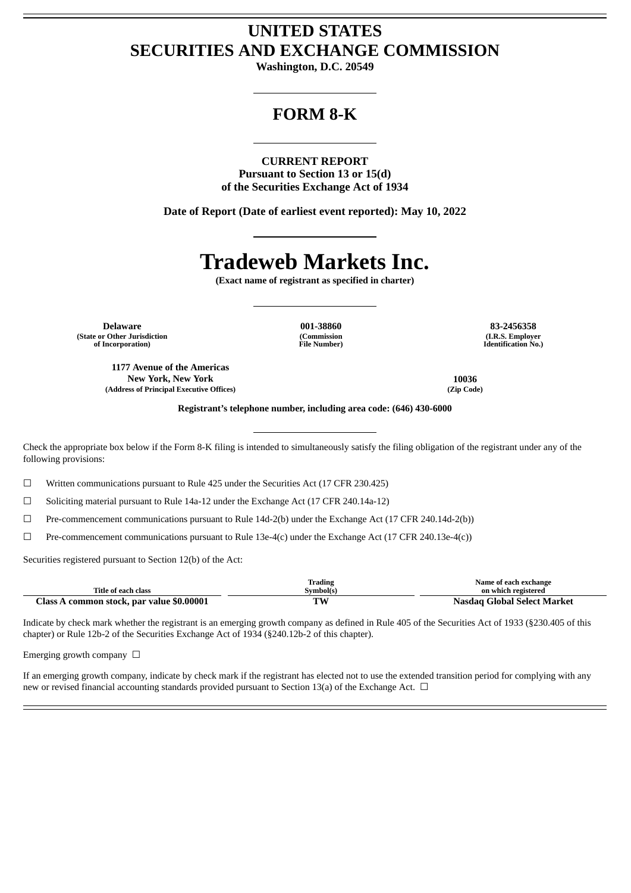## **UNITED STATES SECURITIES AND EXCHANGE COMMISSION**

**Washington, D.C. 20549**

### **FORM 8-K**

**CURRENT REPORT**

**Pursuant to Section 13 or 15(d) of the Securities Exchange Act of 1934**

**Date of Report (Date of earliest event reported): May 10, 2022**

# **Tradeweb Markets Inc.**

**(Exact name of registrant as specified in charter)**

**Delaware 001-38860 83-2456358 (State or Other Jurisdiction of Incorporation)**

**(Commission File Number)**

**(I.R.S. Employer Identification No.)**

**1177 Avenue of the Americas New York, New York 10036 (Address of Principal Executive Offices) (Zip Code)**

**Registrant's telephone number, including area code: (646) 430-6000**

Check the appropriate box below if the Form 8-K filing is intended to simultaneously satisfy the filing obligation of the registrant under any of the following provisions:

 $\Box$  Written communications pursuant to Rule 425 under the Securities Act (17 CFR 230.425)

☐ Soliciting material pursuant to Rule 14a-12 under the Exchange Act (17 CFR 240.14a-12)

☐ Pre-commencement communications pursuant to Rule 14d-2(b) under the Exchange Act (17 CFR 240.14d-2(b))

 $\Box$  Pre-commencement communications pursuant to Rule 13e-4(c) under the Exchange Act (17 CFR 240.13e-4(c))

Securities registered pursuant to Section 12(b) of the Act:

|                                           | Trading   | Name of each exchange       |
|-------------------------------------------|-----------|-----------------------------|
| Title of each class                       | Svmbol(s) | on which registered         |
| Class A common stock, par value \$0.00001 | ТW        | Nasdag Global Select Market |

Indicate by check mark whether the registrant is an emerging growth company as defined in Rule 405 of the Securities Act of 1933 (§230.405 of this chapter) or Rule 12b-2 of the Securities Exchange Act of 1934 (§240.12b-2 of this chapter).

Emerging growth company  $\Box$ 

If an emerging growth company, indicate by check mark if the registrant has elected not to use the extended transition period for complying with any new or revised financial accounting standards provided pursuant to Section 13(a) of the Exchange Act.  $\Box$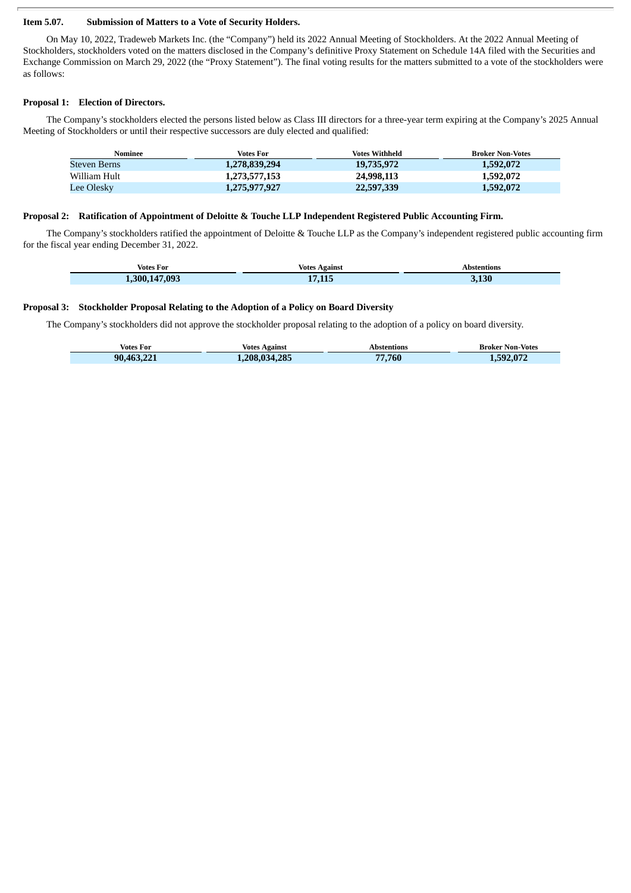#### **Item 5.07. Submission of Matters to a Vote of Security Holders.**

On May 10, 2022, Tradeweb Markets Inc. (the "Company") held its 2022 Annual Meeting of Stockholders. At the 2022 Annual Meeting of Stockholders, stockholders voted on the matters disclosed in the Company's definitive Proxy Statement on Schedule 14A filed with the Securities and Exchange Commission on March 29, 2022 (the "Proxy Statement"). The final voting results for the matters submitted to a vote of the stockholders were as follows:

#### **Proposal 1: Election of Directors.**

The Company's stockholders elected the persons listed below as Class III directors for a three-year term expiring at the Company's 2025 Annual Meeting of Stockholders or until their respective successors are duly elected and qualified:

| Nominee      | Votes For     | Votes Withheld | <b>Broker Non-Votes</b> |
|--------------|---------------|----------------|-------------------------|
| Steven Berns | 1,278,839,294 | 19,735,972     | 1,592,072               |
| William Hult | 1,273,577,153 | 24,998,113     | 1,592,072               |
| Lee Olesky   | 1,275,977,927 | 22,597,339     | 1,592,072               |

#### **Proposal 2: Ratification of Appointment of Deloitte & Touche LLP Independent Registered Public Accounting Firm.**

The Company's stockholders ratified the appointment of Deloitte & Touche LLP as the Company's independent registered public accounting firm for the fiscal year ending December 31, 2022.

| Votes For        | Votes Against | Abstentions |
|------------------|---------------|-------------|
| 147,093<br>.300. | 17 115<br>.   | 3.130       |

#### **Proposal 3: Stockholder Proposal Relating to the Adoption of a Policy on Board Diversity**

The Company's stockholders did not approve the stockholder proposal relating to the adoption of a policy on board diversity.

| Votes For  | Votes Against | Abstentions  | <b>Broker Non-Votes</b> |
|------------|---------------|--------------|-------------------------|
| 90,463,221 | 1,208,034,285 | 7.760<br>77. | 1,592,072               |